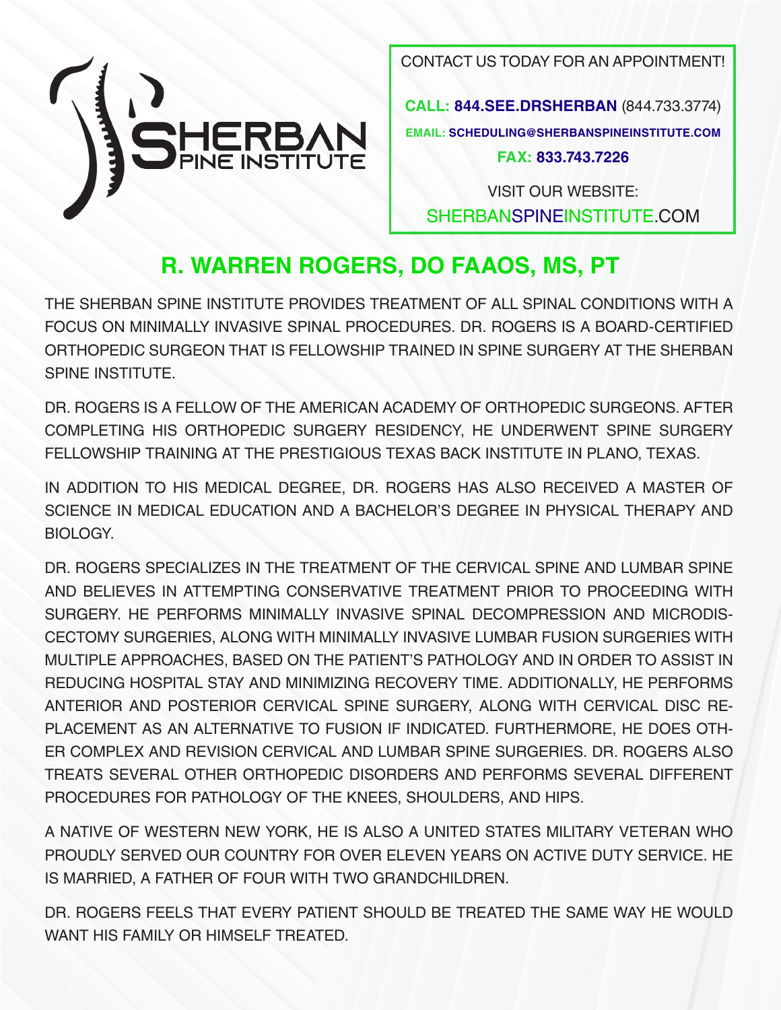

CONTACT US TODAY FOR AN APPOINTMENT!

**CALL: 844.SEE.DRSHERBAN** (844.733.3774) **EMAIL: SCHEDULING@SHERBANSPINEINSTITUTE.COM FAX: 833.743.7226**

VISIT OUR WEBSITE: SHERBANSPINEINSTITUTE.COM

#### **R. WARREN ROGERS, DO FAAOS, MS, PT**

THE SHERBAN SPINE INSTITUTE PROVIDES TREATMENT OF ALL SPINAL CONDITIONS WITH A FOCUS ON MINIMALLY INVASIVE SPINAL PROCEDURES. DR. ROGERS IS A BOARD-CERTIFIED ORTHOPEDIC SURGEON THAT IS FELLOWSHIP TRAINED IN SPINE SURGERY AT THE SHERBAN SPINE INSTITUTE.

DR. ROGERS IS A FELLOW OF THE AMERICAN ACADEMY OF ORTHOPEDIC SURGEONS. AFTER COMPLETING HIS ORTHOPEDIC SURGERY RESIDENCY, HE UNDERWENT SPINE SURGERY FELLOWSHIP TRAINING AT THE PRESTIGIOUS TEXAS BACK INSTITUTE IN PLANO, TEXAS.

IN ADDITION TO HIS MEDICAL DEGREE, DR. ROGERS HAS ALSO RECEIVED A MASTER OF SCIENCE IN MEDICAL EDUCATION AND A BACHELOR'S DEGREE IN PHYSICAL THERAPY AND BIOLOGY.

DR. ROGERS SPECIALIZES IN THE TREATMENT OF THE CERVICAL SPINE AND LUMBAR SPINE AND BELIEVES IN ATTEMPTING CONSERVATIVE TREATMENT PRIOR TO PROCEEDING WITH SURGERY. HE PERFORMS MINIMALLY INVASIVE SPINAL DECOMPRESSION AND MICRODIS-CECTOMY SURGERIES, ALONG WITH MINIMALLY INVASIVE LUMBAR FUSION SURGERIES WITH MULTIPLE APPROACHES, BASED ON THE PATIENT'S PATHOLOGY AND IN ORDER TO ASSIST IN REDUCING HOSPITAL STAY AND MINIMIZING RECOVERY TIME. ADDITIONALLY, HE PERFORMS ANTERIOR AND POSTERIOR CERVICAL SPINE SURGERY, ALONG WITH CERVICAL DISC RE-PLACEMENT AS AN ALTERNATIVE TO FUSION IF INDICATED. FURTHERMORE, HE DOES OTH-ER COMPLEX AND REVISION CERVICAL AND LUMBAR SPINE SURGERIES. DR. ROGERS ALSO TREATS SEVERAL OTHER ORTHOPEDIC DISORDERS AND PERFORMS SEVERAL DIFFERENT PROCEDURES FOR PATHOLOGY OF THE KNEES, SHOULDERS, AND HIPS.

A NATIVE OF WESTERN NEW YORK, HE IS ALSO A UNITED STATES MILITARY VETERAN WHO PROUDLY SERVED OUR COUNTRY FOR OVER ELEVEN YEARS ON ACTIVE DUTY SERVICE. HE IS MARRIED, A FATHER OF FOUR WITH TWO GRANDCHILDREN.

DR. ROGERS FEELS THAT EVERY PATIENT SHOULD BE TREATED THE SAME WAY HE WOULD WANT HIS FAMILY OR HIMSELF TREATED.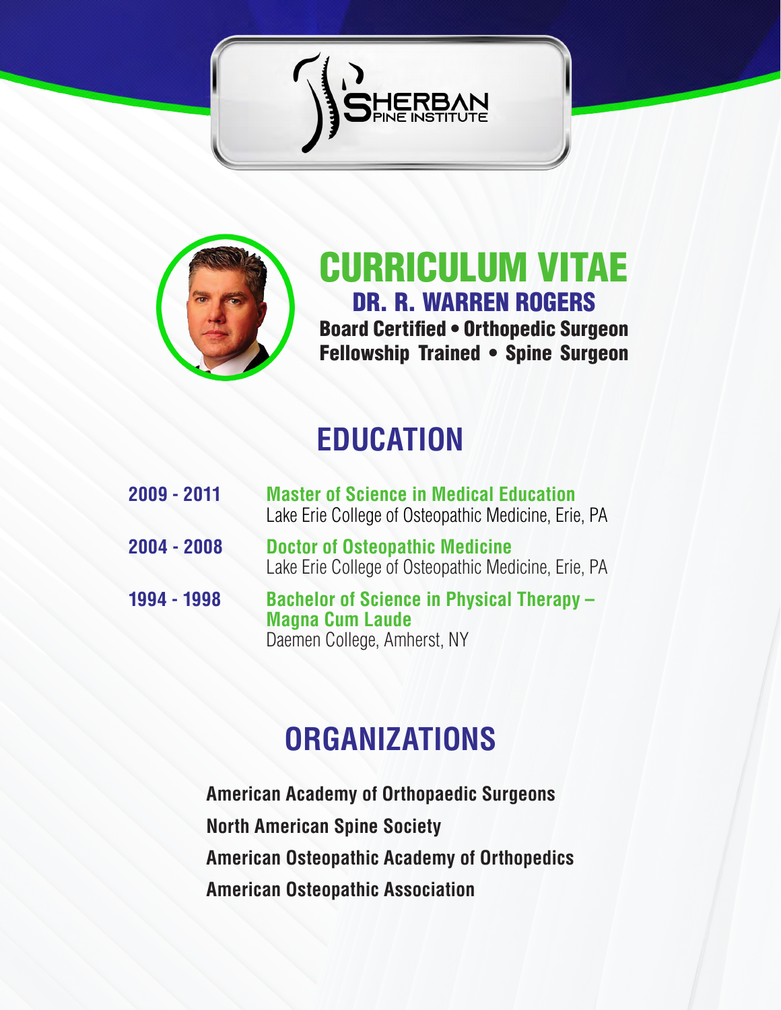



CURRICULUM VITAE DR. R. WARREN ROGERS Board Certified • Orthopedic Surgeon Fellowship Trained • Spine Surgeon

#### **EDUCATION**

| 2009 - 2011 | <b>Master of Science in Medical Education</b><br>Lake Erie College of Osteopathic Medicine, Erie, PA      |
|-------------|-----------------------------------------------------------------------------------------------------------|
| 2004 - 2008 | <b>Doctor of Osteopathic Medicine</b><br>Lake Erie College of Osteopathic Medicine, Erie, PA              |
| 1994 - 1998 | <b>Bachelor of Science in Physical Therapy -</b><br><b>Magna Cum Laude</b><br>Daemen College, Amherst, NY |

## **ORGANIZATIONS**

**American Academy of Orthopaedic Surgeons North American Spine Society American Osteopathic Academy of Orthopedics American Osteopathic Association**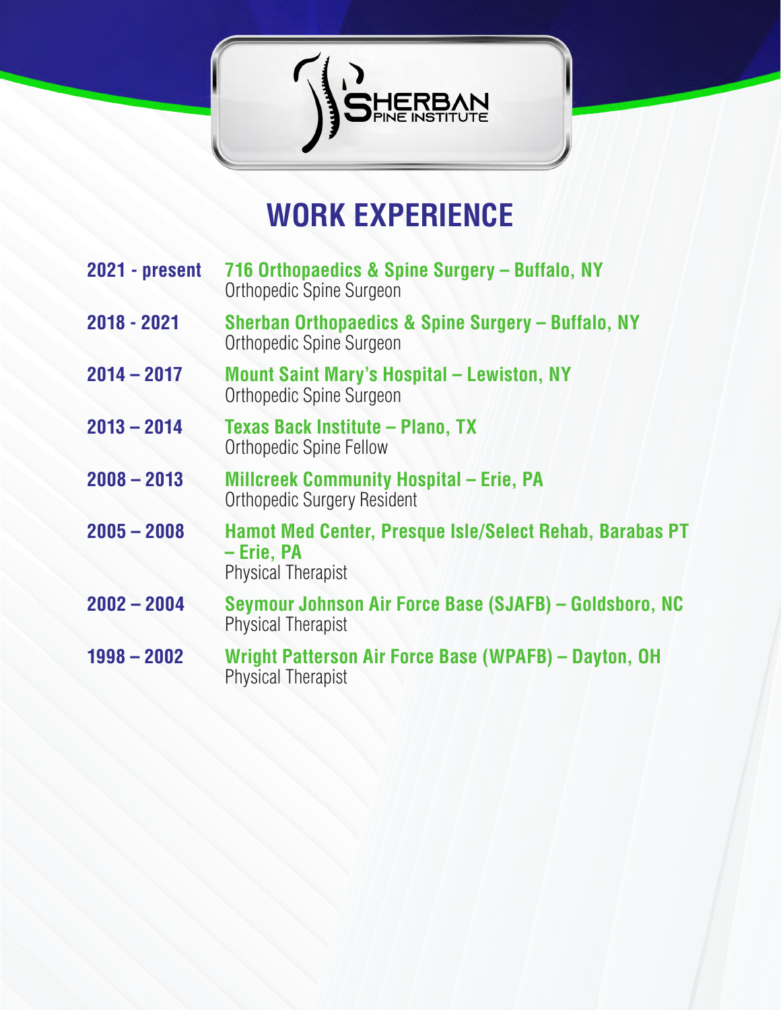

#### **WORK EXPERIENCE**

- **2021 present 716 Orthopaedics & Spine Surgery Buffalo, NY** Orthopedic Spine Surgeon
- **2018 2021 Sherban Orthopaedics & Spine Surgery Buffalo, NY** Orthopedic Spine Surgeon
- **2014 2017 Mount Saint Mary's Hospital Lewiston, NY** Orthopedic Spine Surgeon
- **2013 2014 Texas Back Institute Plano, TX** Orthopedic Spine Fellow
- **2008 2013 Millcreek Community Hospital Erie, PA** Orthopedic Surgery Resident
- **2005 2008 Hamot Med Center, Presque Isle/Select Rehab, Barabas PT – Erie, PA** Physical Therapist
- **2002 2004 Seymour Johnson Air Force Base (SJAFB) Goldsboro, NC** Physical Therapist
- **1998 2002 Wright Patterson Air Force Base (WPAFB) Dayton, OH**  Physical Therapist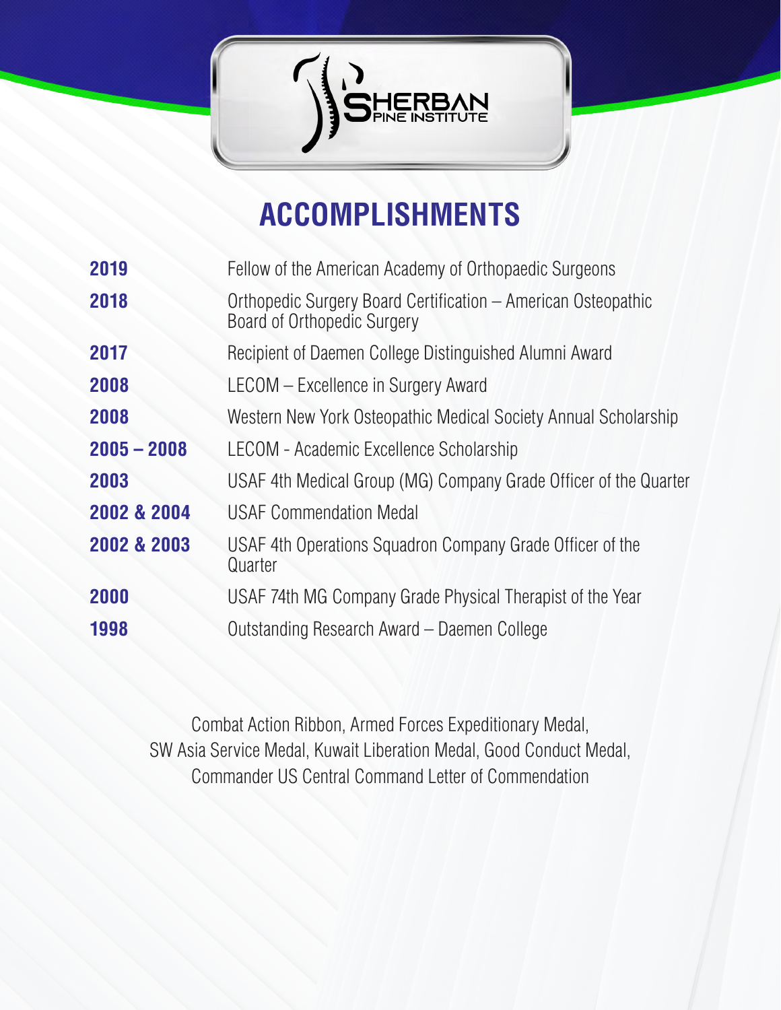

# **ACCOMPLISHMENTS**

| 2019          | Fellow of the American Academy of Orthopaedic Surgeons                                       |
|---------------|----------------------------------------------------------------------------------------------|
| 2018          | Orthopedic Surgery Board Certification – American Osteopathic<br>Board of Orthopedic Surgery |
| 2017          | Recipient of Daemen College Distinguished Alumni Award                                       |
| 2008          | LECOM - Excellence in Surgery Award                                                          |
| 2008          | Western New York Osteopathic Medical Society Annual Scholarship                              |
| $2005 - 2008$ | LECOM - Academic Excellence Scholarship                                                      |
| 2003          | USAF 4th Medical Group (MG) Company Grade Officer of the Quarter                             |
| 2002 & 2004   | <b>USAF Commendation Medal</b>                                                               |
| 2002 & 2003   | USAF 4th Operations Squadron Company Grade Officer of the<br>Quarter                         |
| 2000          | USAF 74th MG Company Grade Physical Therapist of the Year                                    |
| 1998          | Outstanding Research Award – Daemen College                                                  |

Combat Action Ribbon, Armed Forces Expeditionary Medal, SW Asia Service Medal, Kuwait Liberation Medal, Good Conduct Medal, Commander US Central Command Letter of Commendation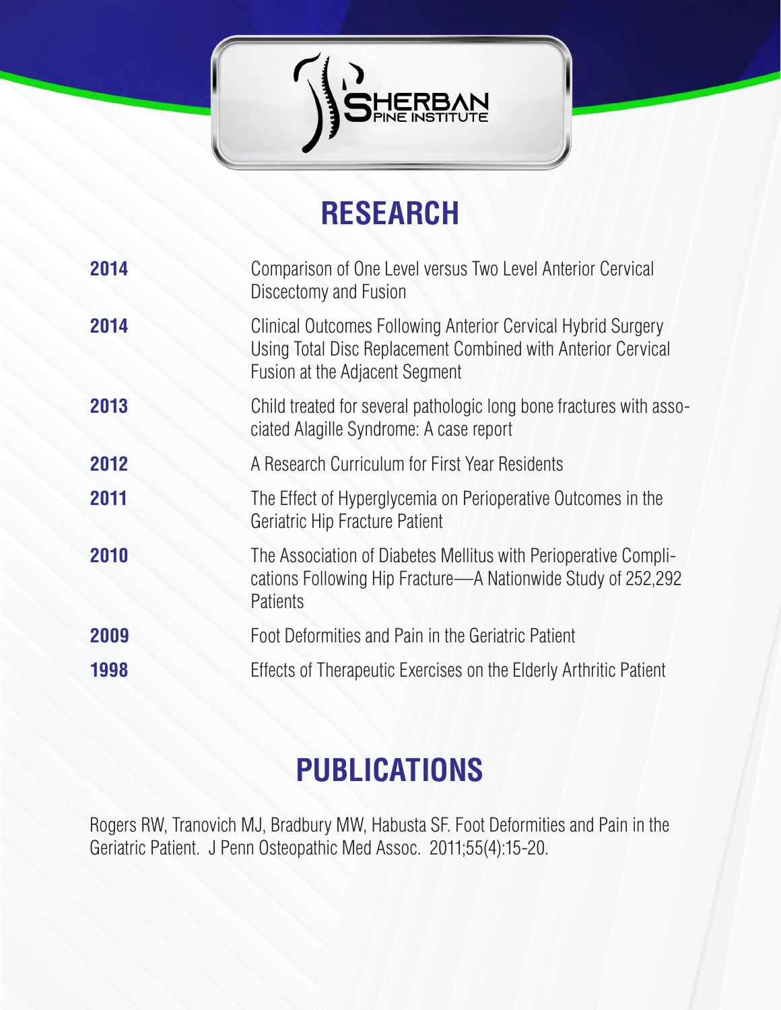

# **RESEARCH**

| 2014 | Comparison of One Level versus Two Level Anterior Cervical<br>Discectomy and Fusion                                                                            |
|------|----------------------------------------------------------------------------------------------------------------------------------------------------------------|
| 2014 | Clinical Outcomes Following Anterior Cervical Hybrid Surgery<br>Using Total Disc Replacement Combined with Anterior Cervical<br>Fusion at the Adjacent Segment |
| 2013 | Child treated for several pathologic long bone fractures with asso-<br>ciated Alagille Syndrome: A case report                                                 |
| 2012 | A Research Curriculum for First Year Residents                                                                                                                 |
| 2011 | The Effect of Hyperglycemia on Perioperative Outcomes in the<br><b>Geriatric Hip Fracture Patient</b>                                                          |
| 2010 | The Association of Diabetes Mellitus with Perioperative Compli-<br>cations Following Hip Fracture—A Nationwide Study of 252,292<br>Patients                    |
| 2009 | Foot Deformities and Pain in the Geriatric Patient                                                                                                             |
| 1998 | Effects of Therapeutic Exercises on the Elderly Arthritic Patient                                                                                              |

# **PUBLICATIONS**

Rogers RW, Tranovich MJ, Bradbury MW, Habusta SF. Foot Deformities and Pain in the Geriatric Patient. J Penn Osteopathic Med Assoc. 2011;55(4):15-20.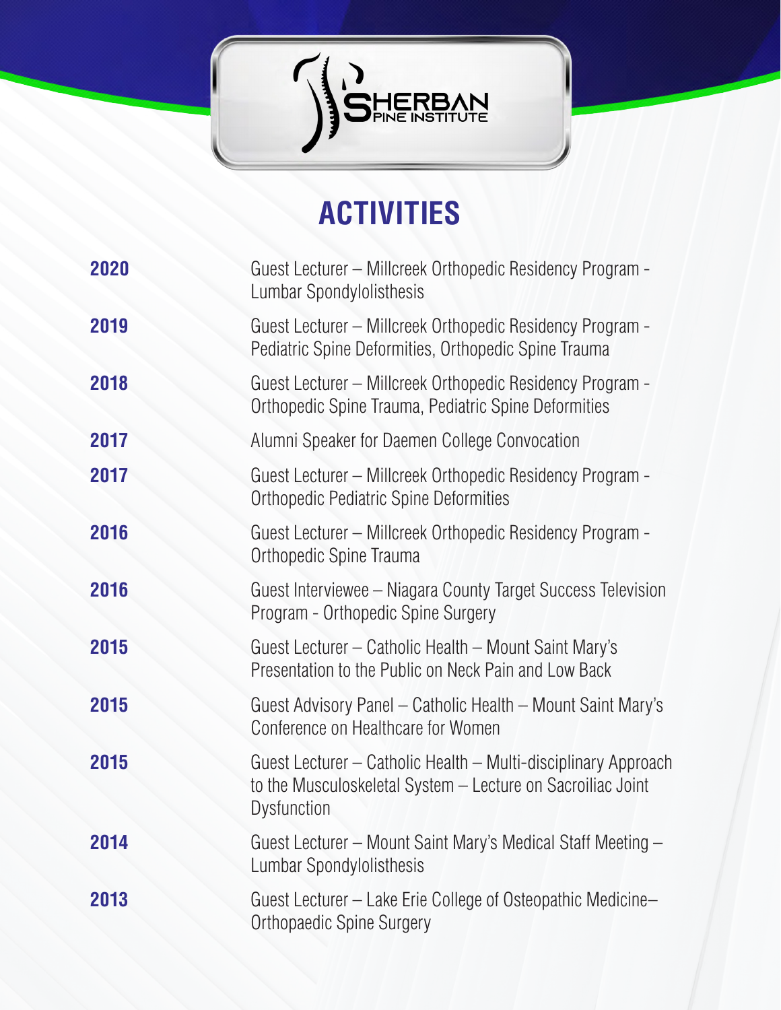

# **ACTIVITIES**

| 2020 | Guest Lecturer – Millcreek Orthopedic Residency Program -<br>Lumbar Spondylolisthesis                                                               |
|------|-----------------------------------------------------------------------------------------------------------------------------------------------------|
| 2019 | Guest Lecturer – Millcreek Orthopedic Residency Program -<br>Pediatric Spine Deformities, Orthopedic Spine Trauma                                   |
| 2018 | Guest Lecturer – Millcreek Orthopedic Residency Program -<br>Orthopedic Spine Trauma, Pediatric Spine Deformities                                   |
| 2017 | Alumni Speaker for Daemen College Convocation                                                                                                       |
| 2017 | Guest Lecturer – Millcreek Orthopedic Residency Program -<br><b>Orthopedic Pediatric Spine Deformities</b>                                          |
| 2016 | Guest Lecturer – Millcreek Orthopedic Residency Program -<br>Orthopedic Spine Trauma                                                                |
| 2016 | Guest Interviewee – Niagara County Target Success Television<br>Program - Orthopedic Spine Surgery                                                  |
| 2015 | Guest Lecturer – Catholic Health – Mount Saint Mary's<br>Presentation to the Public on Neck Pain and Low Back                                       |
| 2015 | Guest Advisory Panel – Catholic Health – Mount Saint Mary's<br>Conference on Healthcare for Women                                                   |
| 2015 | Guest Lecturer – Catholic Health – Multi-disciplinary Approach<br>to the Musculoskeletal System - Lecture on Sacroiliac Joint<br><b>Dysfunction</b> |
| 2014 | Guest Lecturer – Mount Saint Mary's Medical Staff Meeting –<br>Lumbar Spondylolisthesis                                                             |
| 2013 | Guest Lecturer – Lake Erie College of Osteopathic Medicine–<br><b>Orthopaedic Spine Surgery</b>                                                     |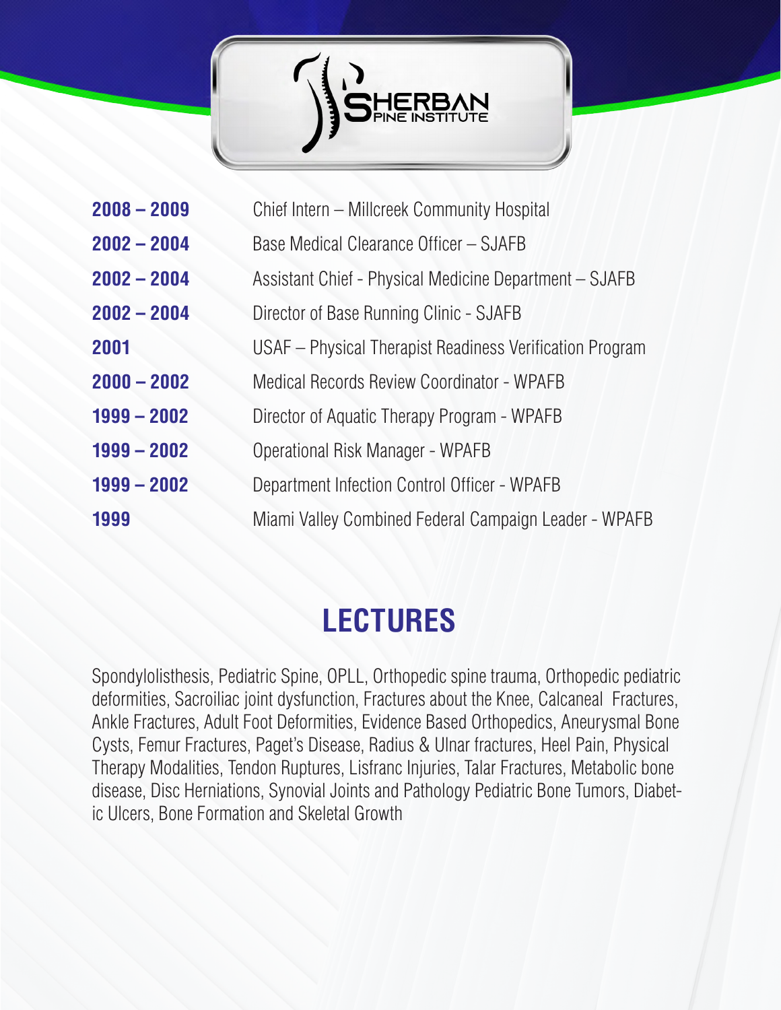

| $2008 - 2009$ | Chief Intern - Millcreek Community Hospital              |
|---------------|----------------------------------------------------------|
| $2002 - 2004$ | Base Medical Clearance Officer - SJAFB                   |
| $2002 - 2004$ | Assistant Chief - Physical Medicine Department - SJAFB   |
| $2002 - 2004$ | Director of Base Running Clinic - SJAFB                  |
| 2001          | USAF – Physical Therapist Readiness Verification Program |
| $2000 - 2002$ | Medical Records Review Coordinator - WPAFB               |
| $1999 - 2002$ | Director of Aquatic Therapy Program - WPAFB              |
| $1999 - 2002$ | Operational Risk Manager - WPAFB                         |
| $1999 - 2002$ | Department Infection Control Officer - WPAFB             |
| 1999          | Miami Valley Combined Federal Campaign Leader - WPAFB    |

#### **LECTURES**

Spondylolisthesis, Pediatric Spine, OPLL, Orthopedic spine trauma, Orthopedic pediatric deformities, Sacroiliac joint dysfunction, Fractures about the Knee, Calcaneal Fractures, Ankle Fractures, Adult Foot Deformities, Evidence Based Orthopedics, Aneurysmal Bone Cysts, Femur Fractures, Paget's Disease, Radius & Ulnar fractures, Heel Pain, Physical Therapy Modalities, Tendon Ruptures, Lisfranc Injuries, Talar Fractures, Metabolic bone disease, Disc Herniations, Synovial Joints and Pathology Pediatric Bone Tumors, Diabetic Ulcers, Bone Formation and Skeletal Growth